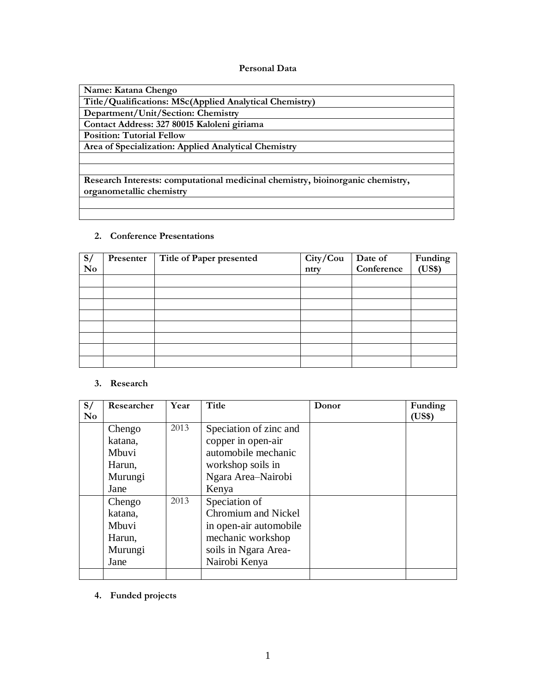#### **Personal Data**

| Name: Katana Chengo                                                            |
|--------------------------------------------------------------------------------|
| Title/Qualifications: MSc(Applied Analytical Chemistry)                        |
| Department/Unit/Section: Chemistry                                             |
| Contact Address: 327 80015 Kaloleni giriama                                    |
| <b>Position: Tutorial Fellow</b>                                               |
| Area of Specialization: Applied Analytical Chemistry                           |
|                                                                                |
|                                                                                |
| Research Interests: computational medicinal chemistry, bioinorganic chemistry, |
| organometallic chemistry                                                       |
|                                                                                |
|                                                                                |

## **2. Conference Presentations**

| S/             | Presenter | Title of Paper presented |              | Date of<br>Conference | Funding |
|----------------|-----------|--------------------------|--------------|-----------------------|---------|
| N <sub>0</sub> |           |                          | City/Country |                       | (US\$)  |
|                |           |                          |              |                       |         |
|                |           |                          |              |                       |         |
|                |           |                          |              |                       |         |
|                |           |                          |              |                       |         |
|                |           |                          |              |                       |         |
|                |           |                          |              |                       |         |
|                |           |                          |              |                       |         |
|                |           |                          |              |                       |         |

#### **3. Research**

| S/             | Researcher | Year | Title                  | Donor | Funding |
|----------------|------------|------|------------------------|-------|---------|
| N <sub>0</sub> |            |      |                        |       | (US\$)  |
|                | Chengo     | 2013 | Speciation of zinc and |       |         |
|                | katana,    |      | copper in open-air     |       |         |
|                | Mbuvi      |      | automobile mechanic    |       |         |
|                | Harun,     |      | workshop soils in      |       |         |
|                | Murungi    |      | Ngara Area-Nairobi     |       |         |
|                | Jane       |      | Kenya                  |       |         |
|                | Chengo     | 2013 | Speciation of          |       |         |
|                | katana,    |      | Chromium and Nickel    |       |         |
|                | Mbuvi      |      | in open-air automobile |       |         |
|                | Harun,     |      | mechanic workshop      |       |         |
|                | Murungi    |      | soils in Ngara Area-   |       |         |
|                | Jane       |      | Nairobi Kenya          |       |         |
|                |            |      |                        |       |         |

**4. Funded projects**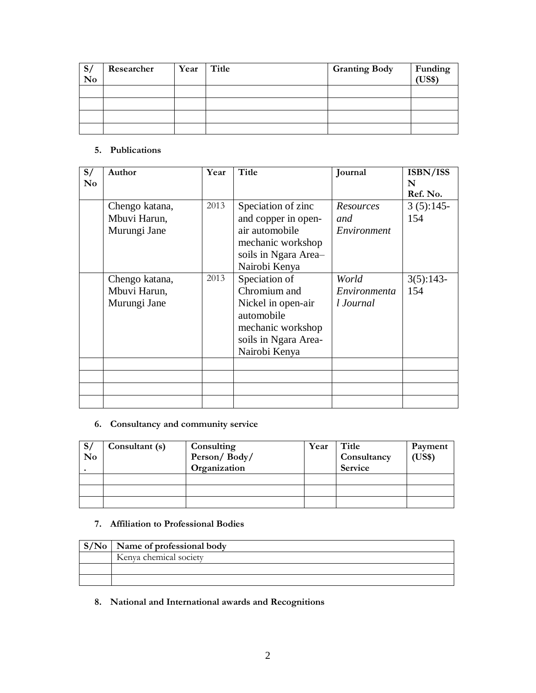| S/<br>N <sub>0</sub> | Researcher | Year | Title | <b>Granting Body</b> | Funding<br>(US\$) |
|----------------------|------------|------|-------|----------------------|-------------------|
|                      |            |      |       |                      |                   |
|                      |            |      |       |                      |                   |
|                      |            |      |       |                      |                   |
|                      |            |      |       |                      |                   |

#### **5. Publications**

| S/<br>$\bf No$ | Author                                         | Year | Title                                                                                                                           | Journal                            | ISBN/ISS<br>N<br>Ref. No. |
|----------------|------------------------------------------------|------|---------------------------------------------------------------------------------------------------------------------------------|------------------------------------|---------------------------|
|                | Chengo katana,<br>Mbuvi Harun,<br>Murungi Jane | 2013 | Speciation of zinc<br>and copper in open-<br>air automobile<br>mechanic workshop<br>soils in Ngara Area-<br>Nairobi Kenya       | Resources<br>and<br>Environment    | $3(5):145-$<br>154        |
|                | Chengo katana,<br>Mbuvi Harun,<br>Murungi Jane | 2013 | Speciation of<br>Chromium and<br>Nickel in open-air<br>automobile<br>mechanic workshop<br>soils in Ngara Area-<br>Nairobi Kenya | World<br>Environmenta<br>l Journal | $3(5):143-$<br>154        |
|                |                                                |      |                                                                                                                                 |                                    |                           |

## **6. Consultancy and community service**

| S/ | Consultant (s) | Consulting   | Year | Title       | Payment |
|----|----------------|--------------|------|-------------|---------|
| No |                | Person/Body/ |      | Consultancy | (US\$)  |
|    |                | Organization |      | Service     |         |
|    |                |              |      |             |         |
|    |                |              |      |             |         |
|    |                |              |      |             |         |

#### **7. Affiliation to Professional Bodies**

| $\vert S/N_0 \vert$ Name of professional body |
|-----------------------------------------------|
| Kenya chemical society                        |
|                                               |
|                                               |

**8. National and International awards and Recognitions**